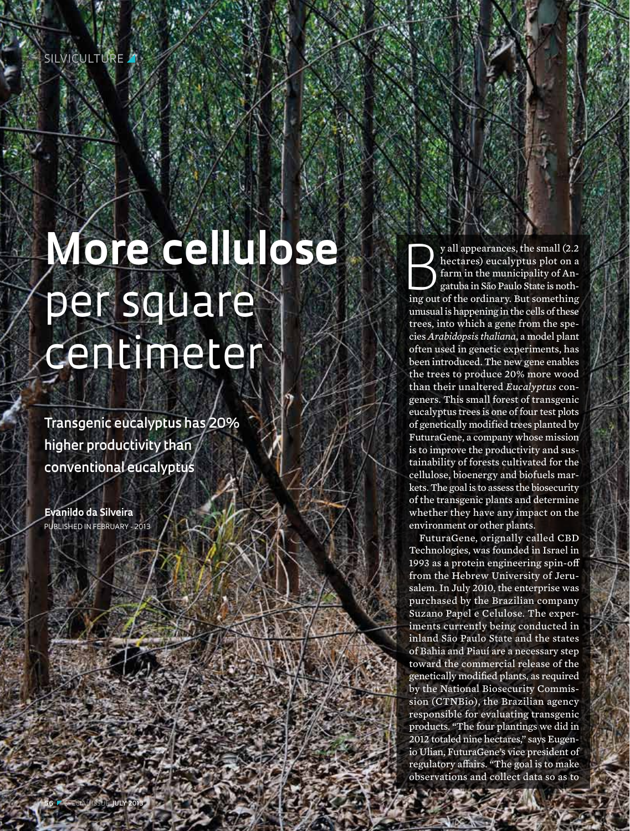# **More cellulose**  per square centimeter

**Transgenic eucalyptus has 20% higher productivity than conventional eucalyptus**

**Evanildo da Silveira** Published in February - 2013 B y all appearances, the small (2.2 hectares) eucalyptus plot on a farm in the municipality of Angatuba in São Paulo State is nothing out of the ordinary. But something unusual is happening in the cells of these trees, into which a gene from the species *Arabidopsis thaliana*, a model plant often used in genetic experiments, has been introduced. The new gene enables the trees to produce 20% more wood than their unaltered *Eucalyptus* congeners. This small forest of transgenic eucalyptus trees is one of four test plots of genetically modified trees planted by FuturaGene, a company whose mission is to improve the productivity and sustainability of forests cultivated for the cellulose, bioenergy and biofuels markets. The goal is to assess the biosecurity of the transgenic plants and determine whether they have any impact on the environment or other plants.

FuturaGene, orignally called CBD Technologies, was founded in Israel in 1993 as a protein engineering spin-off from the Hebrew University of Jerusalem. In July 2010, the enterprise was purchased by the Brazilian company Suzano Papel e Celulose. The experiments currently being conducted in inland São Paulo State and the states of Bahia and Piauí are a necessary step toward the commercial release of the genetically modified plants, as required by the National Biosecurity Commission (CTNBio), the Brazilian agency responsible for evaluating transgenic products. "The four plantings we did in 2012 totaled nine hectares," says Eugenio Ulian, FuturaGene's vice president of regulatory affairs. "The goal is to make observations and collect data so as to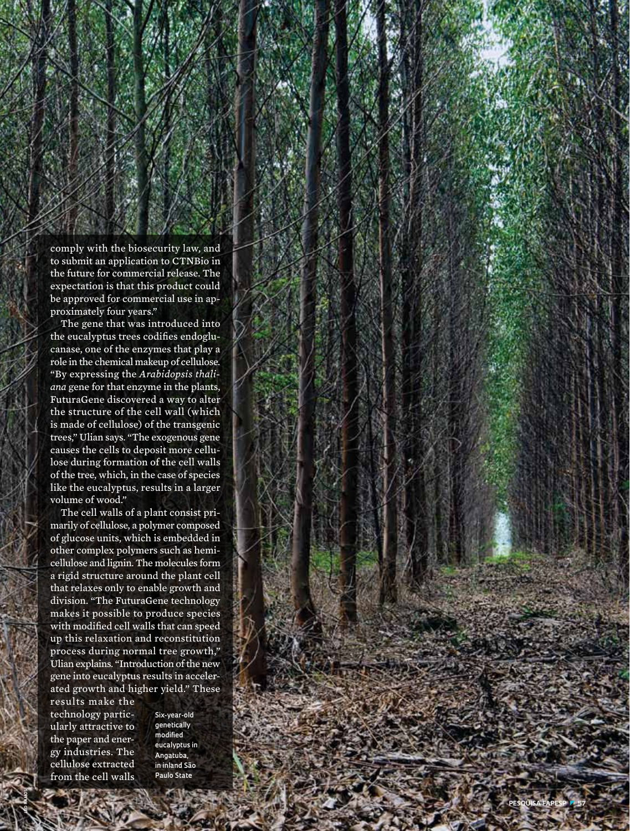comply with the biosecurity law, and to submit an application to CTNBio in the future for commercial release. The expectation is that this product could be approved for commercial use in ap proximately four years."

The gene that was introduced into the eucalyptus trees codifies endoglu canase, one of the enzymes that play a role in the chemical makeup of cellulose. "By expressing the *Arabidopsis thali ana* gene for that enzyme in the plants, FuturaGene discovered a way to alter the structure of the cell wall (which is made of cellulose) of the transgenic trees," Ulian says. "The exogenous gene causes the cells to deposit more cellu lose during formation of the cell walls of the tree, which, in the case of species like the eucalyptus, results in a larger volume of wood."

The cell walls of a plant consist pri marily of cellulose, a polymer composed of glucose units, which is embedded in other complex polymers such as hemi cellulose and lignin. The molecules form a rigid structure around the plant cell that relaxes only to enable growth and division. "The FuturaGene technology makes it possible to produce species with modified cell walls that can speed up this relaxation and reconstitution process during normal tree growth," Ulian explains. "Introduction of the new gene into eucalyptus results in acceler ated growth and higher yield." These

results make the technology partic ularly attractive to the paper and ener gy industries. The cellulose extracted from the cell walls

**léo ramos**

**Six-year-old genetically modified eucalyptus in Angatuba, in inland São Paulo State**

**pESQUISA FA**

**PES P** z **57**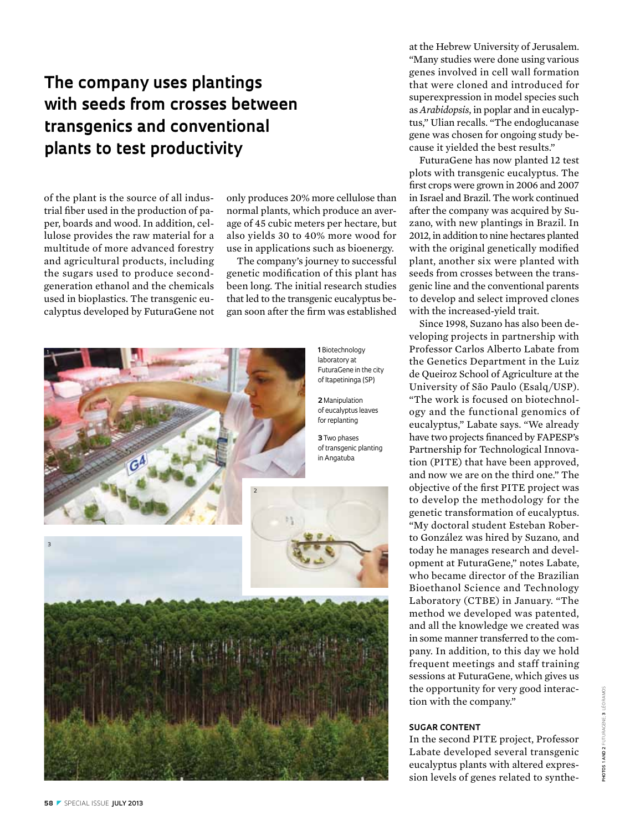## **The company uses plantings with seeds from crosses between transgenics and conventional plants to test productivity**

of the plant is the source of all industrial fiber used in the production of paper, boards and wood. In addition, cellulose provides the raw material for a multitude of more advanced forestry and agricultural products, including the sugars used to produce secondgeneration ethanol and the chemicals used in bioplastics. The transgenic eucalyptus developed by FuturaGene not only produces 20% more cellulose than normal plants, which produce an average of 45 cubic meters per hectare, but also yields 30 to 40% more wood for use in applications such as bioenergy.

The company's journey to successful genetic modification of this plant has been long. The initial research studies that led to the transgenic eucalyptus began soon after the firm was established



at the Hebrew University of Jerusalem. "Many studies were done using various genes involved in cell wall formation that were cloned and introduced for superexpression in model species such as *Arabidopsis*, in poplar and in eucalyptus," Ulian recalls. "The endoglucanase gene was chosen for ongoing study because it yielded the best results."

FuturaGene has now planted 12 test plots with transgenic eucalyptus. The first crops were grown in 2006 and 2007 in Israel and Brazil. The work continued after the company was acquired by Suzano, with new plantings in Brazil. In 2012, in addition to nine hectares planted with the original genetically modified plant, another six were planted with seeds from crosses between the transgenic line and the conventional parents to develop and select improved clones with the increased-yield trait.

Since 1998, Suzano has also been developing projects in partnership with Professor Carlos Alberto Labate from the Genetics Department in the Luiz de Queiroz School of Agriculture at the University of São Paulo (Esalq/USP). "The work is focused on biotechnology and the functional genomics of eucalyptus," Labate says. "We already have two projects financed by FAPESP's Partnership for Technological Innovation (PITE) that have been approved, and now we are on the third one." The objective of the first PITE project was to develop the methodology for the genetic transformation of eucalyptus. "My doctoral student Esteban Roberto González was hired by Suzano, and today he manages research and development at FuturaGene," notes Labate, who became director of the Brazilian Bioethanol Science and Technology Laboratory (CTBE) in January. "The method we developed was patented, and all the knowledge we created was in some manner transferred to the company. In addition, to this day we hold frequent meetings and staff training sessions at FuturaGene, which gives us the opportunity for very good interaction with the company."

#### **Sugar content**

In the second PITE project, Professor Labate developed several transgenic eucalyptus plants with altered expression levels of genes related to synthe